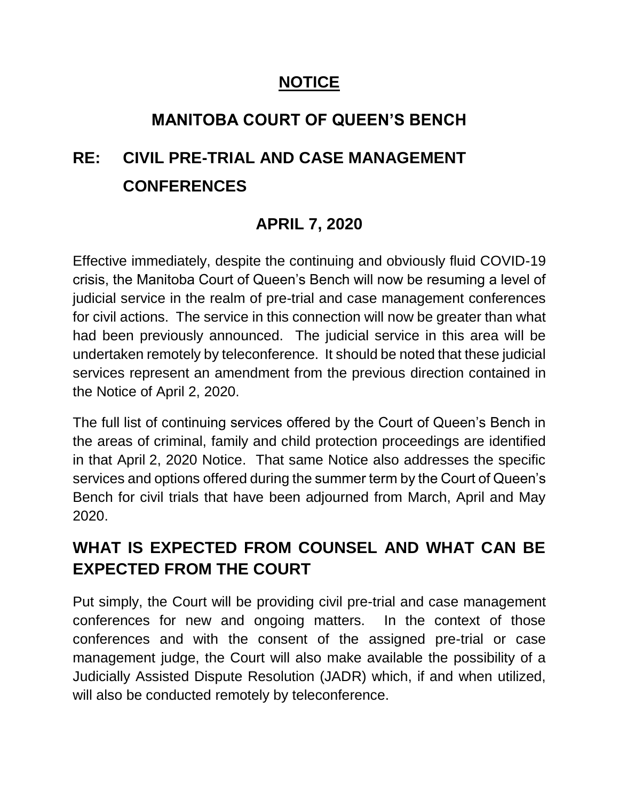# **NOTICE**

# **MANITOBA COURT OF QUEEN'S BENCH**

# **RE: CIVIL PRE-TRIAL AND CASE MANAGEMENT CONFERENCES**

# **APRIL 7, 2020**

Effective immediately, despite the continuing and obviously fluid COVID-19 crisis, the Manitoba Court of Queen's Bench will now be resuming a level of judicial service in the realm of pre-trial and case management conferences for civil actions. The service in this connection will now be greater than what had been previously announced. The judicial service in this area will be undertaken remotely by teleconference. It should be noted that these judicial services represent an amendment from the previous direction contained in the Notice of April 2, 2020.

The full list of continuing services offered by the Court of Queen's Bench in the areas of criminal, family and child protection proceedings are identified in that April 2, 2020 Notice. That same Notice also addresses the specific services and options offered during the summer term by the Court of Queen's Bench for civil trials that have been adjourned from March, April and May 2020.

# **WHAT IS EXPECTED FROM COUNSEL AND WHAT CAN BE EXPECTED FROM THE COURT**

Put simply, the Court will be providing civil pre-trial and case management conferences for new and ongoing matters. In the context of those conferences and with the consent of the assigned pre-trial or case management judge, the Court will also make available the possibility of a Judicially Assisted Dispute Resolution (JADR) which, if and when utilized, will also be conducted remotely by teleconference.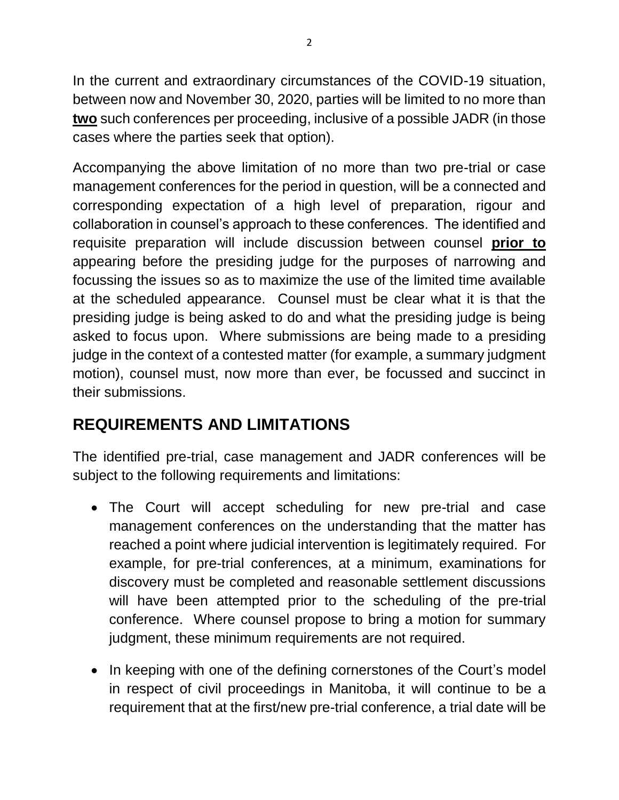In the current and extraordinary circumstances of the COVID-19 situation, between now and November 30, 2020, parties will be limited to no more than **two** such conferences per proceeding, inclusive of a possible JADR (in those cases where the parties seek that option).

Accompanying the above limitation of no more than two pre-trial or case management conferences for the period in question, will be a connected and corresponding expectation of a high level of preparation, rigour and collaboration in counsel's approach to these conferences. The identified and requisite preparation will include discussion between counsel **prior to** appearing before the presiding judge for the purposes of narrowing and focussing the issues so as to maximize the use of the limited time available at the scheduled appearance. Counsel must be clear what it is that the presiding judge is being asked to do and what the presiding judge is being asked to focus upon. Where submissions are being made to a presiding judge in the context of a contested matter (for example, a summary judgment motion), counsel must, now more than ever, be focussed and succinct in their submissions.

# **REQUIREMENTS AND LIMITATIONS**

The identified pre-trial, case management and JADR conferences will be subject to the following requirements and limitations:

- The Court will accept scheduling for new pre-trial and case management conferences on the understanding that the matter has reached a point where judicial intervention is legitimately required. For example, for pre-trial conferences, at a minimum, examinations for discovery must be completed and reasonable settlement discussions will have been attempted prior to the scheduling of the pre-trial conference. Where counsel propose to bring a motion for summary judgment, these minimum requirements are not required.
- In keeping with one of the defining cornerstones of the Court's model in respect of civil proceedings in Manitoba, it will continue to be a requirement that at the first/new pre-trial conference, a trial date will be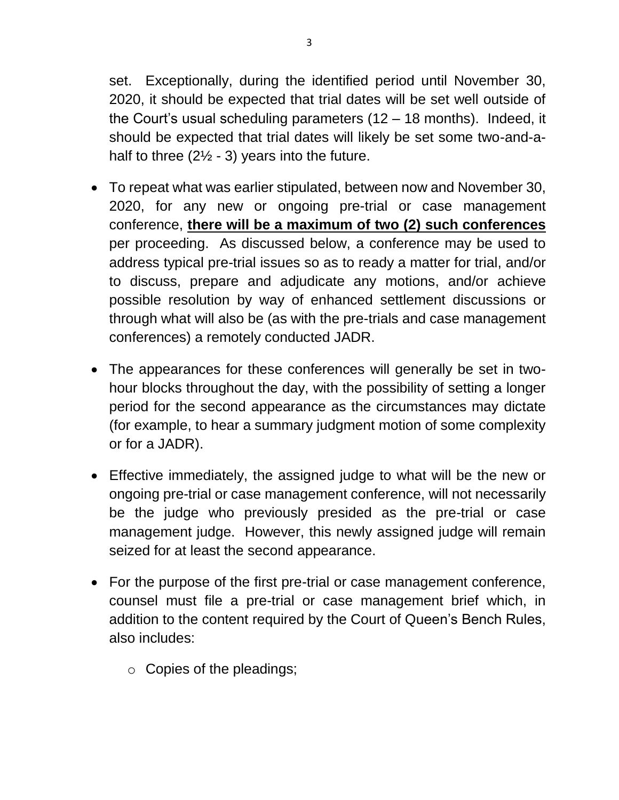set. Exceptionally, during the identified period until November 30, 2020, it should be expected that trial dates will be set well outside of the Court's usual scheduling parameters (12 – 18 months). Indeed, it should be expected that trial dates will likely be set some two-and-ahalf to three  $(2\frac{1}{2} - 3)$  years into the future.

- To repeat what was earlier stipulated, between now and November 30, 2020, for any new or ongoing pre-trial or case management conference, **there will be a maximum of two (2) such conferences** per proceeding. As discussed below, a conference may be used to address typical pre-trial issues so as to ready a matter for trial, and/or to discuss, prepare and adjudicate any motions, and/or achieve possible resolution by way of enhanced settlement discussions or through what will also be (as with the pre-trials and case management conferences) a remotely conducted JADR.
- The appearances for these conferences will generally be set in twohour blocks throughout the day, with the possibility of setting a longer period for the second appearance as the circumstances may dictate (for example, to hear a summary judgment motion of some complexity or for a JADR).
- Effective immediately, the assigned judge to what will be the new or ongoing pre-trial or case management conference, will not necessarily be the judge who previously presided as the pre-trial or case management judge. However, this newly assigned judge will remain seized for at least the second appearance.
- For the purpose of the first pre-trial or case management conference, counsel must file a pre-trial or case management brief which, in addition to the content required by the Court of Queen's Bench Rules, also includes:
	- o Copies of the pleadings;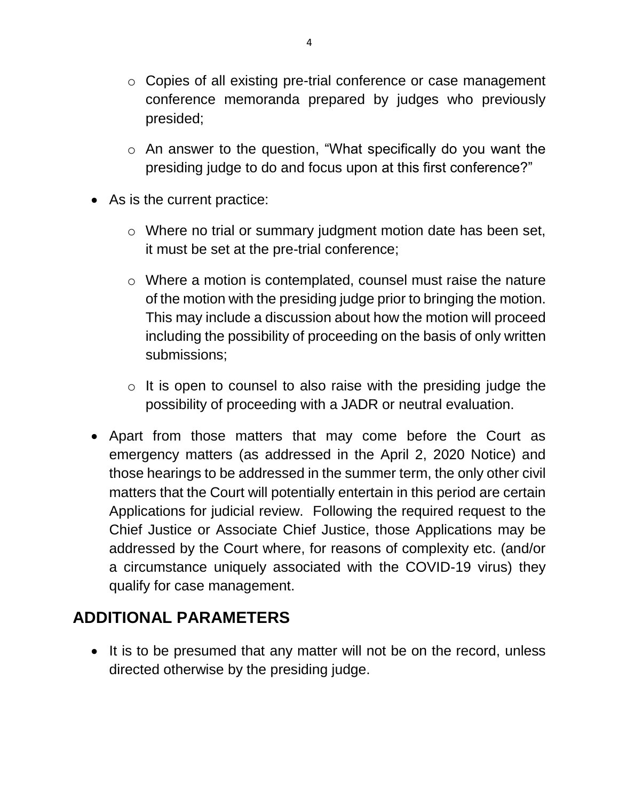- o Copies of all existing pre-trial conference or case management conference memoranda prepared by judges who previously presided;
- o An answer to the question, "What specifically do you want the presiding judge to do and focus upon at this first conference?"
- As is the current practice:
	- o Where no trial or summary judgment motion date has been set, it must be set at the pre-trial conference;
	- o Where a motion is contemplated, counsel must raise the nature of the motion with the presiding judge prior to bringing the motion. This may include a discussion about how the motion will proceed including the possibility of proceeding on the basis of only written submissions;
	- $\circ$  It is open to counsel to also raise with the presiding judge the possibility of proceeding with a JADR or neutral evaluation.
- Apart from those matters that may come before the Court as emergency matters (as addressed in the April 2, 2020 Notice) and those hearings to be addressed in the summer term, the only other civil matters that the Court will potentially entertain in this period are certain Applications for judicial review. Following the required request to the Chief Justice or Associate Chief Justice, those Applications may be addressed by the Court where, for reasons of complexity etc. (and/or a circumstance uniquely associated with the COVID-19 virus) they qualify for case management.

## **ADDITIONAL PARAMETERS**

• It is to be presumed that any matter will not be on the record, unless directed otherwise by the presiding judge.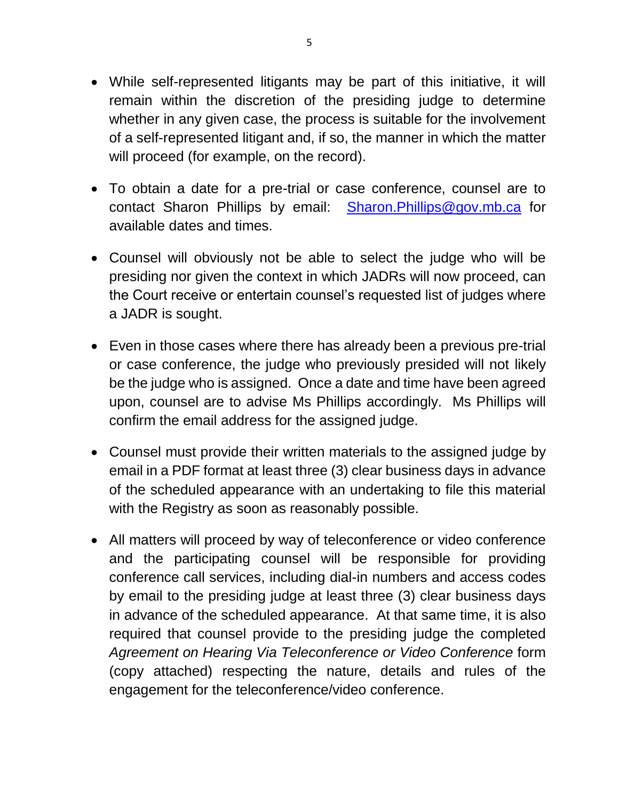- While self-represented litigants may be part of this initiative, it will remain within the discretion of the presiding judge to determine whether in any given case, the process is suitable for the involvement of a self-represented litigant and, if so, the manner in which the matter will proceed (for example, on the record).
- To obtain a date for a pre-trial or case conference, counsel are to contact Sharon Phillips by email: [Sharon.Phillips@gov.mb.ca](mailto:Sharon.Phillips@gov.mb.ca) for available dates and times.
- Counsel will obviously not be able to select the judge who will be presiding nor given the context in which JADRs will now proceed, can the Court receive or entertain counsel's requested list of judges where a JADR is sought.
- Even in those cases where there has already been a previous pre-trial or case conference, the judge who previously presided will not likely be the judge who is assigned. Once a date and time have been agreed upon, counsel are to advise Ms Phillips accordingly. Ms Phillips will confirm the email address for the assigned judge.
- Counsel must provide their written materials to the assigned judge by email in a PDF format at least three (3) clear business days in advance of the scheduled appearance with an undertaking to file this material with the Registry as soon as reasonably possible.
- All matters will proceed by way of teleconference or video conference and the participating counsel will be responsible for providing conference call services, including dial-in numbers and access codes by email to the presiding judge at least three (3) clear business days in advance of the scheduled appearance. At that same time, it is also required that counsel provide to the presiding judge the completed *Agreement on Hearing Via Teleconference or Video Conference* form (copy attached) respecting the nature, details and rules of the engagement for the teleconference/video conference.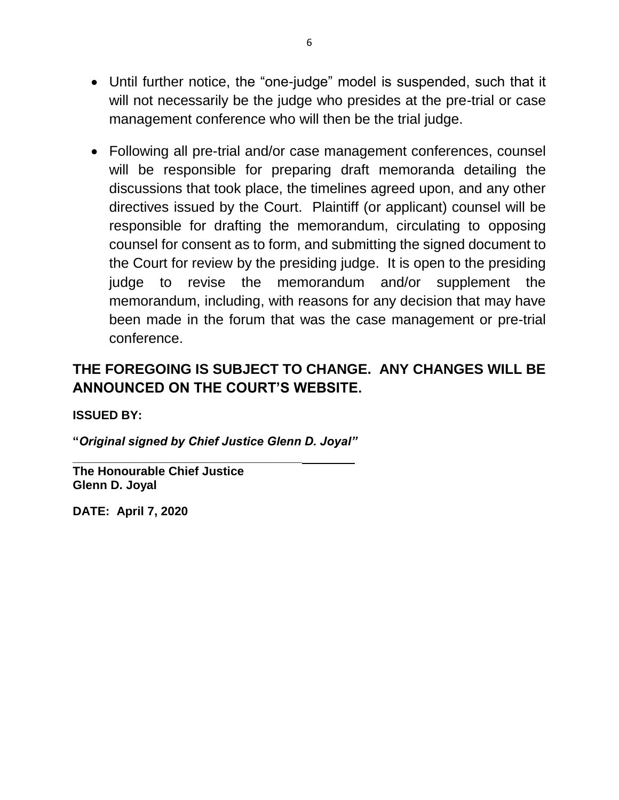- Until further notice, the "one-judge" model is suspended, such that it will not necessarily be the judge who presides at the pre-trial or case management conference who will then be the trial judge.
- Following all pre-trial and/or case management conferences, counsel will be responsible for preparing draft memoranda detailing the discussions that took place, the timelines agreed upon, and any other directives issued by the Court. Plaintiff (or applicant) counsel will be responsible for drafting the memorandum, circulating to opposing counsel for consent as to form, and submitting the signed document to the Court for review by the presiding judge. It is open to the presiding judge to revise the memorandum and/or supplement the memorandum, including, with reasons for any decision that may have been made in the forum that was the case management or pre-trial conference.

### **THE FOREGOING IS SUBJECT TO CHANGE. ANY CHANGES WILL BE ANNOUNCED ON THE COURT'S WEBSITE.**

**ISSUED BY:**

**"***Original signed by Chief Justice Glenn D. Joyal"*

**\_\_\_\_\_\_\_\_\_\_\_\_\_\_\_\_\_\_\_\_\_\_\_\_\_\_\_\_\_\_\_\_\_\_**

**The Honourable Chief Justice Glenn D. Joyal**

**DATE: April 7, 2020**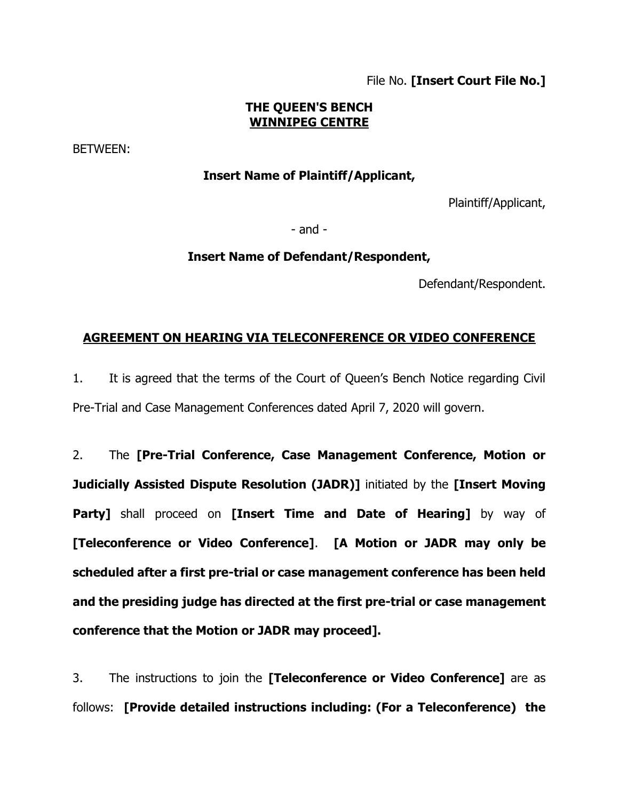File No. **[Insert Court File No.]**

### **THE QUEEN'S BENCH WINNIPEG CENTRE**

BETWEEN:

### **Insert Name of Plaintiff/Applicant,**

Plaintiff/Applicant,

- and -

#### **Insert Name of Defendant/Respondent,**

Defendant/Respondent.

### **AGREEMENT ON HEARING VIA TELECONFERENCE OR VIDEO CONFERENCE**

1. It is agreed that the terms of the Court of Queen's Bench Notice regarding Civil Pre-Trial and Case Management Conferences dated April 7, 2020 will govern.

2. The **[Pre-Trial Conference, Case Management Conference, Motion or Judicially Assisted Dispute Resolution (JADR)]** initiated by the **[Insert Moving Party]** shall proceed on **[Insert Time and Date of Hearing]** by way of **[Teleconference or Video Conference]**. **[A Motion or JADR may only be scheduled after a first pre-trial or case management conference has been held and the presiding judge has directed at the first pre-trial or case management conference that the Motion or JADR may proceed].**

3. The instructions to join the **[Teleconference or Video Conference]** are as follows: **[Provide detailed instructions including: (For a Teleconference) the**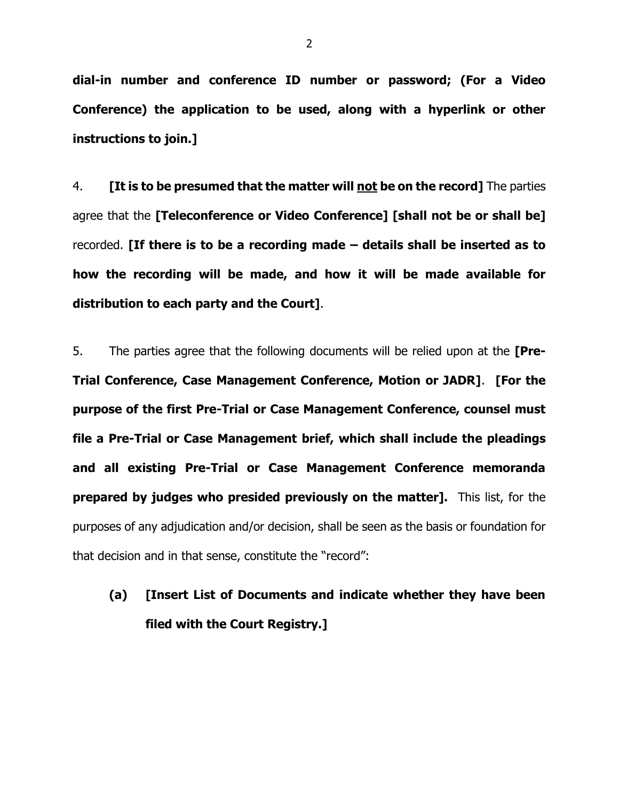**dial-in number and conference ID number or password; (For a Video Conference) the application to be used, along with a hyperlink or other instructions to join.]**

4. **[It is to be presumed that the matter will not be on the record]** The parties agree that the **[Teleconference or Video Conference] [shall not be or shall be]** recorded. **[If there is to be a recording made – details shall be inserted as to how the recording will be made, and how it will be made available for distribution to each party and the Court]**.

5. The parties agree that the following documents will be relied upon at the **[Pre-Trial Conference, Case Management Conference, Motion or JADR]**. **[For the purpose of the first Pre-Trial or Case Management Conference, counsel must file a Pre-Trial or Case Management brief, which shall include the pleadings and all existing Pre-Trial or Case Management Conference memoranda prepared by judges who presided previously on the matter].** This list, for the purposes of any adjudication and/or decision, shall be seen as the basis or foundation for that decision and in that sense, constitute the "record":

# **(a) [Insert List of Documents and indicate whether they have been filed with the Court Registry.]**